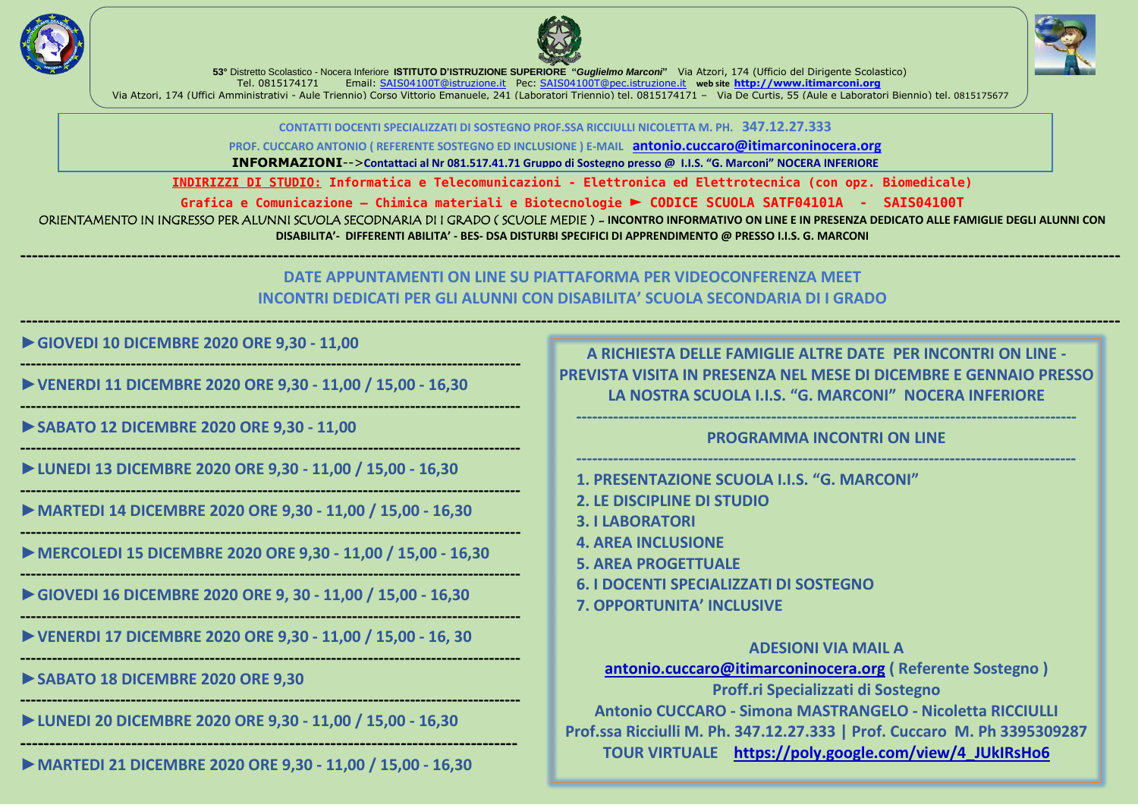**INDIRIZZI DI STUDIO: Informatica e Telecomunicazioni - Elettronica ed Elettrotecnica (con opz. Biomedicale)**

**Grafica e Comunicazione – Chimica materiali e Biotecnologie ► CODICE SCUOLA SATF04101A - SAIS04100T**

ORIENTAMENTO IN INGRESSO PER ALUNNI SCUOLA SECODNARIA DI I GRADO (SCUOLE MEDIE) - INCONTRO INFORMATIVO ON LINE E IN PRESENZA DEDICATO ALLE FAMIGLIE DEGLI ALUNNI CON **DISABILITA'- DIFFERENTI ABILITA' - BES- DSA DISTURBI SPECIFICI DI APPRENDIMENTO @ PRESSO I.I.S. G. MARCONI**

**--------------------------------------------------------------------------------------------------------------------------------------------------------------------------------------------**

# **DATE APPUNTAMENTI ON LINE SU PIATTAFORMA PER VIDEOCONFERENZA MEET INCONTRI DEDICATI PER GLI ALUNNI CON DISABILITA' SCUOLA SECONDARIA DI I GRADO**

**--------------------------------------------------------------------------------------------------------------------------------------------------------------------------------------------**

**►GIOVEDI 10 DICEMBRE 2020 ORE 9,30 - 11,00** 

**-----------------------------------------------------------------------------------------------**

**►VENERDI 11 DICEMBRE 2020 ORE 9,30 - 11,00 / 15,00 - 16,30**

**-----------------------------------------------------------------------------------------------**

**►SABATO 12 DICEMBRE 2020 ORE 9,30 - 11,00**

**-----------------------------------------------------------------------------------------------**

**►LUNEDI 13 DICEMBRE 2020 ORE 9,30 - 11,00 / 15,00 - 16,30**

**-----------------------------------------------------------------------------------------------**

**►MARTEDI 14 DICEMBRE 2020 ORE 9,30 - 11,00 / 15,00 - 16,30**

**-----------------------------------------------------------------------------------------------**

**►MERCOLEDI 15 DICEMBRE 2020 ORE 9,30 - 11,00 / 15,00 - 16,30**

**-----------------------------------------------------------------------------------------------**

**►GIOVEDI 16 DICEMBRE 2020 ORE 9, 30 - 11,00 / 15,00 - 16,30**

**-----------------------------------------------------------------------------------------------**

**►VENERDI 17 DICEMBRE 2020 ORE 9,30 - 11,00 / 15,00 - 16, 30**

**-----------------------------------------------------------------------------------------------**

**►SABATO 18 DICEMBRE 2020 ORE 9,30**

**-----------------------------------------------------------------------------------------------**

**►LUNEDI 20 DICEMBRE 2020 ORE 9,30 - 11,00 / 15,00 - 16,30**

**-------------------------------------------------------------------------------------**

**►MARTEDI 21 DICEMBRE 2020 ORE 9,30 - 11,00 / 15,00 - 16,30**





**53°** Distretto Scolastico - Nocera Inferiore **ISTITUTO D'ISTRUZIONE SUPERIORE "***Guglielmo Marconi***"** Via Atzori, 174 (Ufficio del Dirigente Scolastico) Tel. 0815174171 Email: [SAIS04100T@istruzione.it](mailto:SAIS04100T@istruzione.it) Pec: [SAIS04100T@pec.istruzione.it](mailto:SAIS04100T@pec.istruzione.it) **web site [http://www.itimarconi.org](http://www.itimarconi.org/)** Via Atzori, 174 (Uffici Amministrativi - Aule Triennio) Corso Vittorio Emanuele, 241 (Laboratori Triennio) tel. 0815174171 – Via De Curtis, 55 (Aule e Laboratori Biennio) tel. 0815175677

> **CONTATTI DOCENTI SPECIALIZZATI DI SOSTEGNO PROF.SSA RICCIULLI NICOLETTA M. PH. 347.12.27.333 PROF. CUCCARO ANTONIO ( REFERENTE SOSTEGNO ED INCLUSIONE ) E-MAIL [antonio.cuccaro@itimarconinocera.org](mailto:antonio.cuccaro@itimarconinocera.org)**

> **INFORMAZIONI**-->**Contattaci al Nr 081.517.41.71 Gruppo di Sostegno presso @ I.I.S. "G. Marconi" NOCERA INFERIORE**

**A RICHIESTA DELLE FAMIGLIE ALTRE DATE PER INCONTRI ON LINE - PREVISTA VISITA IN PRESENZA NEL MESE DI DICEMBRE E GENNAIO PRESSO LA NOSTRA SCUOLA I.I.S. "G. MARCONI" NOCERA INFERIORE**

**-----------------------------------------------------------------------------------------------**

**PROGRAMMA INCONTRI ON LINE**

**----------------------------------------------------------------------------------------------- 1. PRESENTAZIONE SCUOLA I.I.S. "G. MARCONI"**

- **2. LE DISCIPLINE DI STUDIO**
- **3. I LABORATORI**
- **4. AREA INCLUSIONE**
- **5. AREA PROGETTUALE**
- **6. I DOCENTI SPECIALIZZATI DI SOSTEGNO**
- **7. OPPORTUNITA' INCLUSIVE**

**ADESIONI VIA MAIL A [antonio.cuccaro@itimarconinocera.org](mailto:antonio.cuccaro@itimarconinocera.org) ( Referente Sostegno ) Proff.ri Specializzati di Sostegno Antonio CUCCARO - Simona MASTRANGELO - Nicoletta RICCIULLI Prof.ssa Ricciulli M. Ph. 347.12.27.333 | Prof. Cuccaro M. Ph 3395309287 TOUR VIRTUALE [https://poly.google.com/view/4\\_JUkIRsHo6](https://poly.google.com/view/4_JUkIRsHo6)**

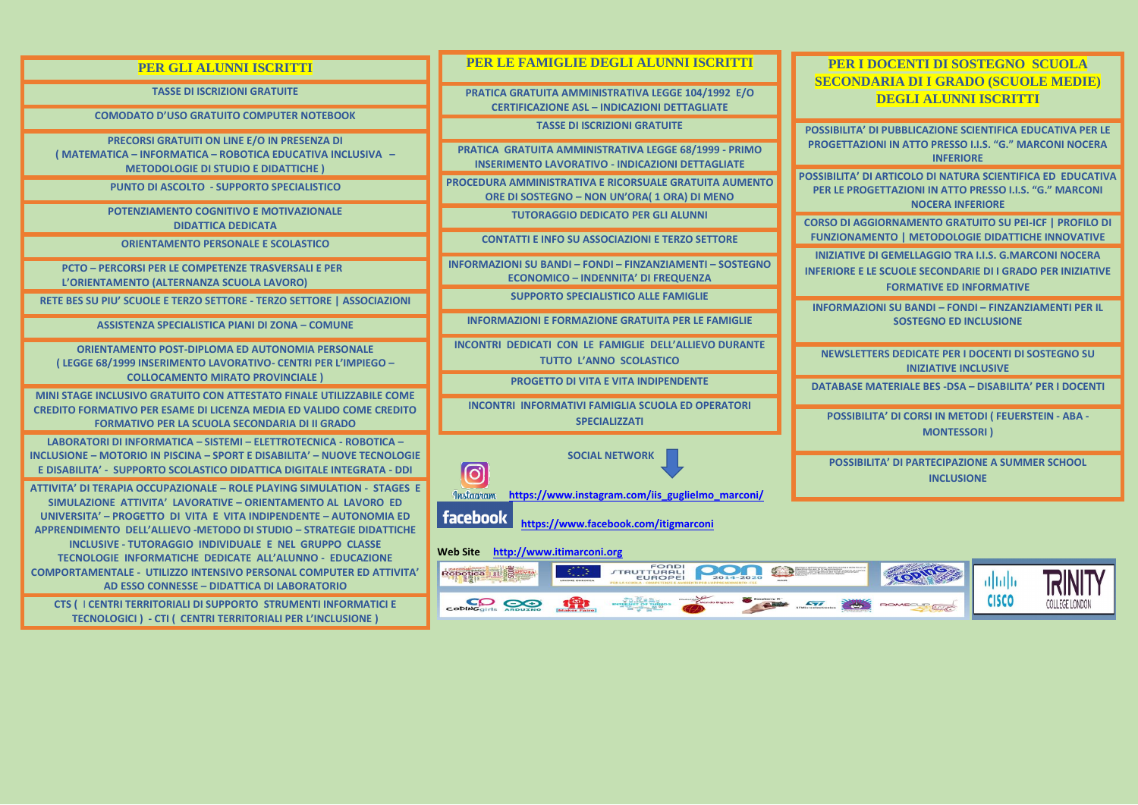| <b>PER GLI ALUNNI ISCRITTI</b>                                                                                                                                                                                                                                                                                                                                                                                                                                     | PER LE FAMIGLIE DEGLI ALUNNI ISCRITTI                                                                            | <b>PERI</b><br><b>SECONI</b>             |
|--------------------------------------------------------------------------------------------------------------------------------------------------------------------------------------------------------------------------------------------------------------------------------------------------------------------------------------------------------------------------------------------------------------------------------------------------------------------|------------------------------------------------------------------------------------------------------------------|------------------------------------------|
| <b>TASSE DI ISCRIZIONI GRATUITE</b>                                                                                                                                                                                                                                                                                                                                                                                                                                | PRATICA GRATUITA AMMINISTRATIVA LEGGE 104/1992 E/O<br><b>CERTIFICAZIONE ASL - INDICAZIONI DETTAGLIATE</b>        |                                          |
| <b>COMODATO D'USO GRATUITO COMPUTER NOTEBOOK</b>                                                                                                                                                                                                                                                                                                                                                                                                                   | <b>TASSE DI ISCRIZIONI GRATUITE</b>                                                                              | <b>POSSIBILITA</b>                       |
| PRECORSI GRATUITI ON LINE E/O IN PRESENZA DI<br>(MATEMATICA - INFORMATICA - ROBOTICA EDUCATIVA INCLUSIVA -<br><b>METODOLOGIE DI STUDIO E DIDATTICHE)</b>                                                                                                                                                                                                                                                                                                           | PRATICA GRATUITA AMMINISTRATIVA LEGGE 68/1999 - PRIMO<br><b>INSERIMENTO LAVORATIVO - INDICAZIONI DETTAGLIATE</b> | <b>PROGETTAZ</b>                         |
| PUNTO DI ASCOLTO - SUPPORTO SPECIALISTICO                                                                                                                                                                                                                                                                                                                                                                                                                          | PROCEDURA AMMINISTRATIVA E RICORSUALE GRATUITA AUMENTO<br>ORE DI SOSTEGNO - NON UN'ORA(1 ORA) DI MENO            | <b>POSSIBILITA'</b><br><b>PER LE PRO</b> |
| POTENZIAMENTO COGNITIVO E MOTIVAZIONALE<br><b>DIDATTICA DEDICATA</b>                                                                                                                                                                                                                                                                                                                                                                                               | <b>TUTORAGGIO DEDICATO PER GLI ALUNNI</b>                                                                        | <b>CORSO DI AO</b>                       |
| <b>ORIENTAMENTO PERSONALE E SCOLASTICO</b>                                                                                                                                                                                                                                                                                                                                                                                                                         | <b>CONTATTI E INFO SU ASSOCIAZIONI E TERZO SETTORE</b>                                                           | <b>FUNZIONAI</b><br><b>INIZIATIVE</b>    |
| <b>PCTO - PERCORSI PER LE COMPETENZE TRASVERSALI E PER</b><br>L'ORIENTAMENTO (ALTERNANZA SCUOLA LAVORO)                                                                                                                                                                                                                                                                                                                                                            | INFORMAZIONI SU BANDI - FONDI - FINZANZIAMENTI - SOSTEGNO<br><b>ECONOMICO - INDENNITA' DI FREQUENZA</b>          | <b>INFERIORE E</b>                       |
| RETE BES SU PIU' SCUOLE E TERZO SETTORE - TERZO SETTORE   ASSOCIAZIONI                                                                                                                                                                                                                                                                                                                                                                                             | <b>SUPPORTO SPECIALISTICO ALLE FAMIGLIE</b>                                                                      | <b>INFORMAZ</b>                          |
| <b>ASSISTENZA SPECIALISTICA PIANI DI ZONA - COMUNE</b>                                                                                                                                                                                                                                                                                                                                                                                                             | <b>INFORMAZIONI E FORMAZIONE GRATUITA PER LE FAMIGLIE</b>                                                        |                                          |
| <b>ORIENTAMENTO POST-DIPLOMA ED AUTONOMIA PERSONALE</b><br>(LEGGE 68/1999 INSERIMENTO LAVORATIVO- CENTRI PER L'IMPIEGO -                                                                                                                                                                                                                                                                                                                                           | INCONTRI DEDICATI CON LE FAMIGLIE DELL'ALLIEVO DURANTE<br>TUTTO L'ANNO SCOLASTICO                                | <b>NEWSLET</b>                           |
| <b>COLLOCAMENTO MIRATO PROVINCIALE )</b><br><b>MINI STAGE INCLUSIVO GRATUITO CON ATTESTATO FINALE UTILIZZABILE COME</b>                                                                                                                                                                                                                                                                                                                                            | <b>PROGETTO DI VITA E VITA INDIPENDENTE</b>                                                                      | <b>DATABASE</b>                          |
| <b>CREDITO FORMATIVO PER ESAME DI LICENZA MEDIA ED VALIDO COME CREDITO</b><br><b>FORMATIVO PER LA SCUOLA SECONDARIA DI II GRADO</b>                                                                                                                                                                                                                                                                                                                                | <b>INCONTRI INFORMATIVI FAMIGLIA SCUOLA ED OPERATORI</b><br><b>SPECIALIZZATI</b>                                 | <b>POSSIBI</b>                           |
| LABORATORI DI INFORMATICA - SISTEMI - ELETTROTECNICA - ROBOTICA -<br>INCLUSIONE - MOTORIO IN PISCINA - SPORT E DISABILITA' - NUOVE TECNOLOGIE<br>E DISABILITA' - SUPPORTO SCOLASTICO DIDATTICA DIGITALE INTEGRATA - DDI                                                                                                                                                                                                                                            | <b>SOCIAL NETWORK</b>                                                                                            | <b>POSSIB</b>                            |
| ATTIVITA' DI TERAPIA OCCUPAZIONALE – ROLE PLAYING SIMULATION - STAGES E                                                                                                                                                                                                                                                                                                                                                                                            | $\boxed{\textcircled{\;}}$<br>Instagram<br>https://www.instagram.com/iis guglielmo marconi/                      |                                          |
| SIMULAZIONE ATTIVITA' LAVORATIVE - ORIENTAMENTO AL LAVORO ED<br>UNIVERSITA' – PROGETTO DI VITA E VITA INDIPENDENTE – AUTONOMIA ED<br><b>APPRENDIMENTO DELL'ALLIEVO -METODO DI STUDIO – STRATEGIE DIDATTICHE</b><br>INCLUSIVE - TUTORAGGIO INDIVIDUALE E NEL GRUPPO CLASSE<br>TECNOLOGIE INFORMATICHE DEDICATE ALL'ALUNNO - EDUCAZIONE<br><b>COMPORTAMENTALE - UTILIZZO INTENSIVO PERSONAL COMPUTER ED ATTIVITA'</b><br>AD ESSO CONNESSE - DIDATTICA DI LABORATORIO | facebook<br>https://www.facebook.com/itigmarconi                                                                 |                                          |
|                                                                                                                                                                                                                                                                                                                                                                                                                                                                    | http://www.itimarconi.org<br><b>Web Site</b>                                                                     |                                          |
|                                                                                                                                                                                                                                                                                                                                                                                                                                                                    | FONDI<br>TRUTTURALI<br>EUROPEI<br>Robotica III Saliwa<br>2014-2020                                               |                                          |
| CTS ( I CENTRI TERRITORIALI DI SUPPORTO STRUMENTI INFORMATICI E<br>TECNOLOGICI) - CTI ( CENTRI TERRITORIALI PER L'INCLUSIONE )                                                                                                                                                                                                                                                                                                                                     | $\mathcal{L}$<br>exe                                                                                             |                                          |

**I DOCENTI DI SOSTEGNO SCUOLA DARIA DI I GRADO (SCUOLE MEDIE) DEGLI ALUNNI ISCRITTI** 

**PUBBLICAZIONE SCIENTIFICA EDUCATIVA PER LE PROGETTAZIONI IN ATTO PRESSO I.I.S. "G." MARCONI NOCERA INFERIORE**

**DI ARTICOLO DI NATURA SCIENTIFICA ED EDUCATIVA PER LE PROGETTAZIONI IN ATTO PRESSO I.I.S. "G." MARCONI NOCERA INFERIORE**

**CORSO DI AGGIORNAMENTO GRATUITO SU PEI-ICF | PROFILO DI MENTO | METODOLOGIE DIDATTICHE INNOVATIVE** 

**IDI GEMELLAGGIO TRA I.I.S. G.MARCONI NOCERA** 

**LE SCUOLE SECONDARIE DI I GRADO PER INIZIATIVE FORMATIVE ED INFORMATIVE**

**PLITA' DI PARTECIPAZIONE A SUMMER SCHOOL INCLUSIONE**







**INFORMAZIONI SU BANDI – FONDI – FINZANZIAMENTI PER IL SOSTEGNO ED INCLUSIONE**

**NEWSLETTERS DEDICATE PER I DOCENTI DI SOSTEGNO SU INIZIATIVE INCLUSIVE**

**MATERIALE BES -DSA – DISABILITA' PER I DOCENTI** 

**POSSIBILITA' DI CORSI IN METODI ( FEUERSTEIN - ABA - MONTESSORI )**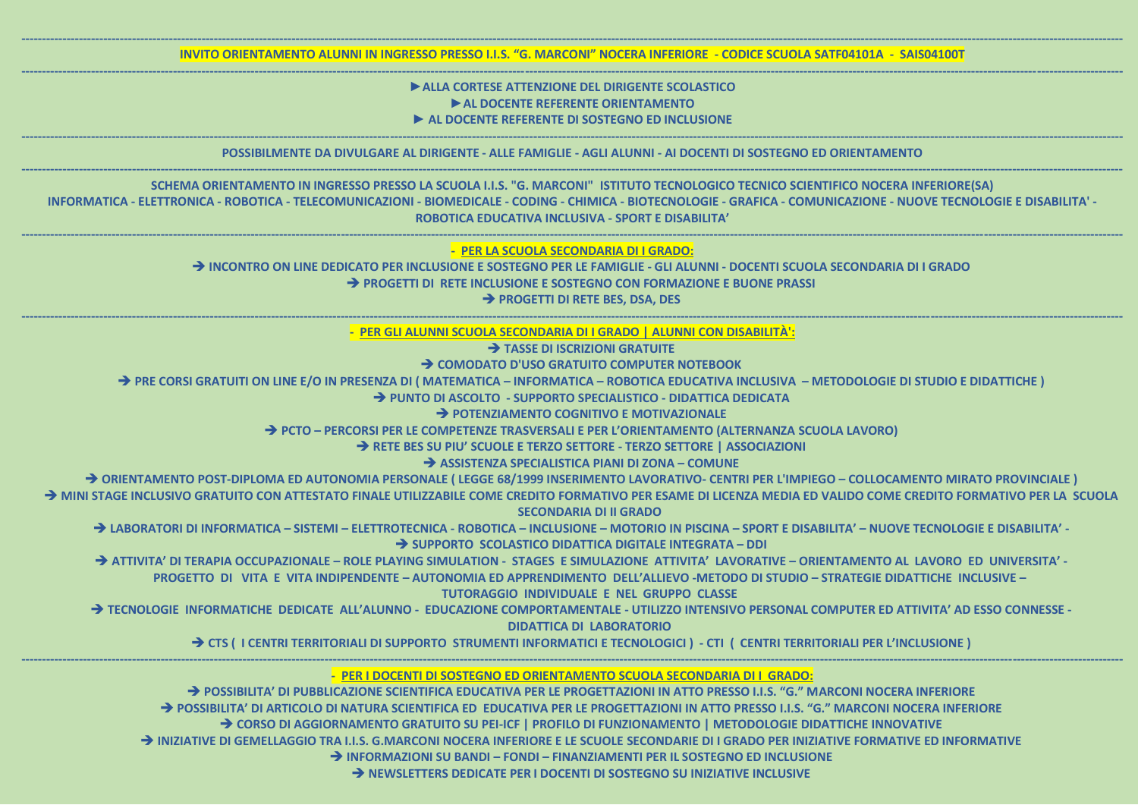## **►ALLA CORTESE ATTENZIONE DEL DIRIGENTE SCOLASTICO ►AL DOCENTE REFERENTE ORIENTAMENTO ► AL DOCENTE REFERENTE DI SOSTEGNO ED INCLUSIONE**

| INVITO ORIENTAMENTO ALUNNI IN INGRESSO PRESSO I.I.S. "G. MARCONI" NOCERA INFERIORE - CODICE SCUOLA SATF04101A - SAIS04100T                                                                                                                                                                                                                                                                                                                                                                                                                                                                                                                                                                                                                                                                                                                                                                                                                                                                                                                                                                                                                                                                                                                                                                                                                                                                                                                                                                                                                                                                                                                                                                                                                                                                                                                                                                                                  |
|-----------------------------------------------------------------------------------------------------------------------------------------------------------------------------------------------------------------------------------------------------------------------------------------------------------------------------------------------------------------------------------------------------------------------------------------------------------------------------------------------------------------------------------------------------------------------------------------------------------------------------------------------------------------------------------------------------------------------------------------------------------------------------------------------------------------------------------------------------------------------------------------------------------------------------------------------------------------------------------------------------------------------------------------------------------------------------------------------------------------------------------------------------------------------------------------------------------------------------------------------------------------------------------------------------------------------------------------------------------------------------------------------------------------------------------------------------------------------------------------------------------------------------------------------------------------------------------------------------------------------------------------------------------------------------------------------------------------------------------------------------------------------------------------------------------------------------------------------------------------------------------------------------------------------------|
| ALLA CORTESE ATTENZIONE DEL DIRIGENTE SCOLASTICO<br>AL DOCENTE REFERENTE ORIENTAMENTO<br>AL DOCENTE REFERENTE DI SOSTEGNO ED INCLUSIONE                                                                                                                                                                                                                                                                                                                                                                                                                                                                                                                                                                                                                                                                                                                                                                                                                                                                                                                                                                                                                                                                                                                                                                                                                                                                                                                                                                                                                                                                                                                                                                                                                                                                                                                                                                                     |
| POSSIBILMENTE DA DIVULGARE AL DIRIGENTE - ALLE FAMIGLIE - AGLI ALUNNI - AI DOCENTI DI SOSTEGNO ED ORIENTAMENTO                                                                                                                                                                                                                                                                                                                                                                                                                                                                                                                                                                                                                                                                                                                                                                                                                                                                                                                                                                                                                                                                                                                                                                                                                                                                                                                                                                                                                                                                                                                                                                                                                                                                                                                                                                                                              |
| SCHEMA ORIENTAMENTO IN INGRESSO PRESSO LA SCUOLA I.I.S. "G. MARCONI" ISTITUTO TECNOLOGICO TECNICO SCIENTIFICO NOCERA INFERIORE(SA)<br>INFORMATICA - ELETTRONICA - ROBOTICA - TELECOMUNICAZIONI - BIOMEDICALE - CODING - CHIMICA - BIOTECNOLOGIE - GRAFICA - COMUNICAZIONE - NUOVE TECNOLOGIE E DISABILITA' -<br>ROBOTICA EDUCATIVA INCLUSIVA - SPORT E DISABILITA'                                                                                                                                                                                                                                                                                                                                                                                                                                                                                                                                                                                                                                                                                                                                                                                                                                                                                                                                                                                                                                                                                                                                                                                                                                                                                                                                                                                                                                                                                                                                                          |
| - PER LA SCUOLA SECONDARIA DI I GRADO:<br>A INCONTRO ON LINE DEDICATO PER INCLUSIONE E SOSTEGNO PER LE FAMIGLIE - GLI ALUNNI - DOCENTI SCUOLA SECONDARIA DI I GRADO<br>→ PROGETTI DI RETE INCLUSIONE E SOSTEGNO CON FORMAZIONE E BUONE PRASSI<br>→ PROGETTI DI RETE BES, DSA, DES                                                                                                                                                                                                                                                                                                                                                                                                                                                                                                                                                                                                                                                                                                                                                                                                                                                                                                                                                                                                                                                                                                                                                                                                                                                                                                                                                                                                                                                                                                                                                                                                                                           |
| PER GLI ALUNNI SCUOLA SECONDARIA DI I GRADO   ALUNNI CON DISABILITÀ':<br>> TASSE DI ISCRIZIONI GRATUITE<br>→ COMODATO D'USO GRATUITO COMPUTER NOTEBOOK<br>→ PRE CORSI GRATUITI ON LINE E/O IN PRESENZA DI (MATEMATICA – INFORMATICA – ROBOTICA EDUCATIVA INCLUSIVA – METODOLOGIE DI STUDIO E DIDATTICHE)<br>> PUNTO DI ASCOLTO - SUPPORTO SPECIALISTICO - DIDATTICA DEDICATA<br>$\rightarrow$ POTENZIAMENTO COGNITIVO E MOTIVAZIONALE<br>→ PCTO – PERCORSI PER LE COMPETENZE TRASVERSALI E PER L'ORIENTAMENTO (ALTERNANZA SCUOLA LAVORO)<br>RETE BES SU PIU' SCUOLE E TERZO SETTORE - TERZO SETTORE   ASSOCIAZIONI<br>ASSISTENZA SPECIALISTICA PIANI DI ZONA – COMUNE<br>→ ORIENTAMENTO POST-DIPLOMA ED AUTONOMIA PERSONALE (LEGGE 68/1999 INSERIMENTO LAVORATIVO- CENTRI PER L'IMPIEGO – COLLOCAMENTO MIRATO PROVINCIALE)<br>A MINI STAGE INCLUSIVO GRATUITO CON ATTESTATO FINALE UTILIZZABILE COME CREDITO FORMATIVO PER ESAME DI LICENZA MEDIA ED VALIDO COME CREDITO FORMATIVO PER LA SCUOLA<br><b>SECONDARIA DI II GRADO</b><br>A LABORATORI DI INFORMATICA – SISTEMI – ELETTROTECNICA - ROBOTICA – INCLUSIONE – MOTORIO IN PISCINA – SPORT E DISABILITA' – NUOVE TECNOLOGIE E DISABILITA' -<br>$\rightarrow$ SUPPORTO SCOLASTICO DIDATTICA DIGITALE INTEGRATA – DDI<br>ATTIVITA' DI TERAPIA OCCUPAZIONALE – ROLE PLAYING SIMULATION - STAGES E SIMULAZIONE ATTIVITA' LAVORATIVE – ORIENTAMENTO AL LAVORO ED UNIVERSITA' -<br>PROGETTO DI VITA E VITA INDIPENDENTE – AUTONOMIA ED APPRENDIMENTO DELL'ALLIEVO -METODO DI STUDIO – STRATEGIE DIDATTICHE INCLUSIVE –<br>TUTORAGGIO INDIVIDUALE E NEL GRUPPO CLASSE<br>A TECNOLOGIE INFORMATICHE DEDICATE ALL'ALUNNO - EDUCAZIONE COMPORTAMENTALE - UTILIZZO INTENSIVO PERSONAL COMPUTER ED ATTIVITA' AD ESSO CONNESSE -<br><b>DIDATTICA DI LABORATORIO</b><br>TERRITORIALI DI SUPPORTO STRUMENTI INFORMATICI E TECNOLOGICI) - CTI ( CENTRI TERRITORIALI PER L'INCLUSIONE) |
| PER I DOCENTI DI SOSTEGNO ED ORIENTAMENTO SCUOLA SECONDARIA DI I GRADO:<br>→ POSSIBILITA' DI PUBBLICAZIONE SCIENTIFICA EDUCATIVA PER LE PROGETTAZIONI IN ATTO PRESSO I.I.S. "G." MARCONI NOCERA INFERIORE<br>POSSIBILITA' DI ARTICOLO DI NATURA SCIENTIFICA ED EDUCATIVA PER LE PROGETTAZIONI IN ATTO PRESSO I.I.S. "G." MARCONI NOCERA INFERIORE                                                                                                                                                                                                                                                                                                                                                                                                                                                                                                                                                                                                                                                                                                                                                                                                                                                                                                                                                                                                                                                                                                                                                                                                                                                                                                                                                                                                                                                                                                                                                                           |

**→ POSSIBILITA' DI PUBBLICAZIONE SCIENTIFICA EDUCATIVA PER LE PROGETTAZIONI IN ATTO PRESSO I.I.S. "G." MARCOI → POSSIBILITA' DI ARTICOLO DI NATURA SCIENTIFICA ED FDUCATIVA PER LE PROGETTAZIONI IN ATTO PRESSO I.I.S. "G." MA** ➔ **CORSO DI AGGIORNAMENTO GRATUITO SU PEI-ICF | PROFILO DI FUNZIONAMENTO | METODOLOGIE DIDATTICHE INNOVATIVE** ➔ **INIZIATIVE DI GEMELLAGGIO TRA I.I.S. G.MARCONI NOCERA INFERIORE E LE SCUOLE SECONDARIE DI I GRADO PER INIZIATIVE FORMATIVE ED INFORMATIVE** ➔ **INFORMAZIONI SU BANDI – FONDI – FINANZIAMENTI PER IL SOSTEGNO ED INCLUSIONE** ➔ **NEWSLETTERS DEDICATE PER I DOCENTI DI SOSTEGNO SU INIZIATIVE INCLUSIVE**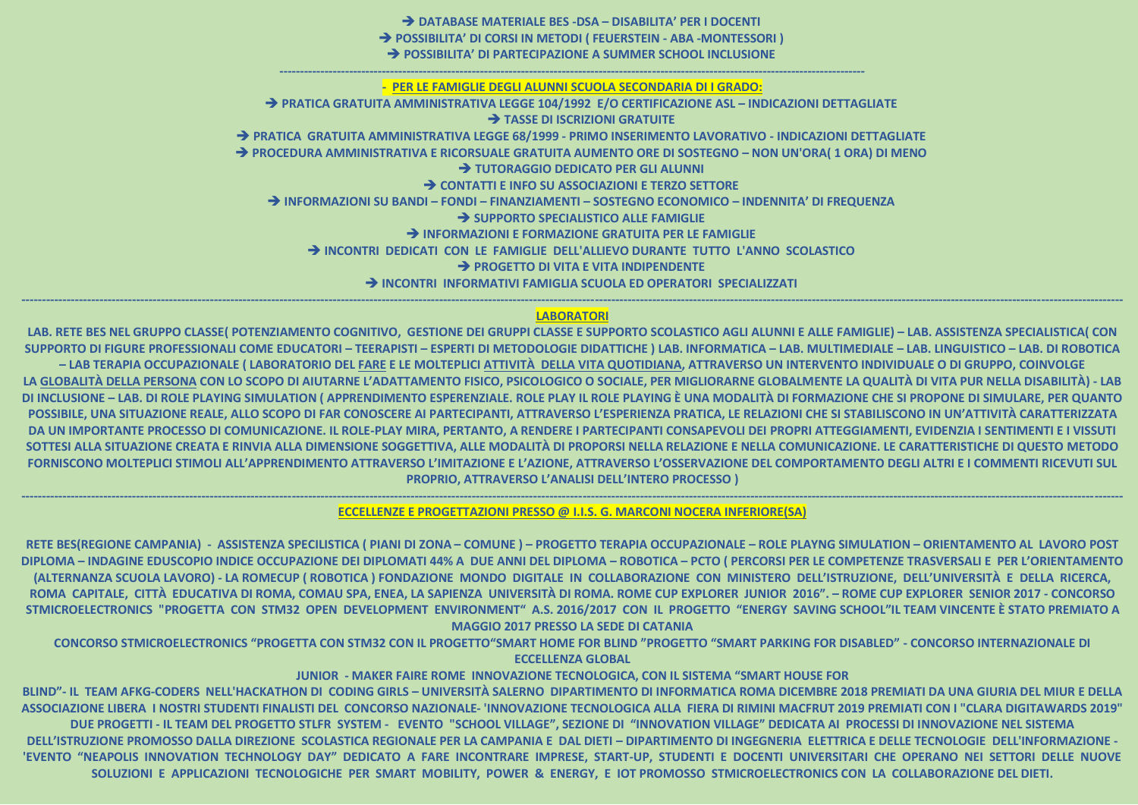> DATABASE MATERIALE BES - DSA - DISABILITA' PER I DOCENTI > POSSIBILITA' DI CORSI IN METODI ( FEUERSTEIN - ABA -MONTESSORI ) > POSSIBILITA' DI PARTECIPAZIONE A SUMMER SCHOOL INCLUSIONE PER LE FAMIGLIE DEGLI ALUNNI SCUOLA SECONDARIA DI I GRADO: > PRATICA GRATUITA AMMINISTRATIVA LEGGE 104/1992 E/O CERTIFICAZIONE ASL - INDICAZIONI DETTAGLIATE > TASSE DI ISCRIZIONI GRATUITE → PRATICA GRATUITA AMMINISTRATIVA LEGGE 68/1999 - PRIMO INSERIMENTO LAVORATIVO - INDICAZIONI DETTAGLIATE → PROCEDURA AMMINISTRATIVA E RICORSUALE GRATUITA AUMENTO ORE DI SOSTEGNO - NON UN'ORA(1 ORA) DI MENO > TUTORAGGIO DEDICATO PER GLI ALUNNI > CONTATTI E INFO SU ASSOCIAZIONI E TERZO SETTORE → INFORMAZIONI SU BANDI – FONDI – FINANZIAMENTI – SOSTEGNO ECONOMICO – INDENNITA' DI FREQUENZA > SUPPORTO SPECIALISTICO ALLE FAMIGLIE > INFORMAZIONI E FORMAZIONE GRATUITA PER LE FAMIGLIE > INCONTRI DEDICATI CON LE FAMIGLIE DELL'ALLIEVO DURANTE TUTTO L'ANNO SCOLASTICO > PROGETTO DI VITA E VITA INDIPENDENTE > INCONTRI INFORMATIVI FAMIGLIA SCUOLA ED OPERATORI SPECIALIZZATI

### **LABORATORI**

LAB. RETE BES NEL GRUPPO CLASSE( POTENZIAMENTO COGNITIVO, GESTIONE DEI GRUPPI CLASSE E SUPPORTO SCOLASTICO AGLI ALUNNI E ALLE FAMIGLIE) - LAB. ASSISTENZA SPECIALISTICA( CON SUPPORTO DI FIGURE PROFESSIONALI COME EDUCATORI - TEERAPISTI - ESPERTI DI METODOLOGIE DIDATTICHE ) LAB. INFORMATICA - LAB. MULTIMEDIALE - LAB. LINGUISTICO - LAB. DI ROBOTICA - LAB TERAPIA OCCUPAZIONALE ( LABORATORIO DEL FARE E LE MOLTEPLICI ATTIVITÀ DELLA VITA QUOTIDIANA, ATTRAVERSO UN INTERVENTO INDIVIDUALE O DI GRUPPO, COINVOLGE LA GLOBALITÀ DELLA PERSONA CON LO SCOPO DI AIUTARNE L'ADATTAMENTO FISICO, PSICOLOGICO O SOCIALE, PER MIGLIORARNE GLOBALMENTE LA QUALITÀ DI VITA PUR NELLA DISABILITÀ) - LAB DI INCLUSIONE - LAB. DI ROLE PLAYING SIMULATION ( APPRENDIMENTO ESPERENZIALE. ROLE PLAY IL ROLE PLAYING È UNA MODALITÀ DI FORMAZIONE CHE SI PROPONE DI SIMULARE, PER QUANTO POSSIBILE, UNA SITUAZIONE REALE, ALLO SCOPO DI FAR CONOSCERE AI PARTECIPANTI, ATTRAVERSO L'ESPERIENZA PRATICA, LE RELAZIONI CHE SI STABILISCONO IN UN'ATTIVITÀ CARATTERIZZATA DA UN IMPORTANTE PROCESSO DI COMUNICAZIONE. IL ROLE-PLAY MIRA, PERTANTO, A RENDERE I PARTECIPANTI CONSAPEVOLI DEI PROPRI ATTEGGIAMENTI, EVIDENZIA I SENTIMENTI E I VISSUTI SOTTESI ALLA SITUAZIONE CREATA E RINVIA ALLA DIMENSIONE SOGGETTIVA, ALLE MODALITÀ DI PROPORSI NELLA RELAZIONE E NELLA COMUNICAZIONE. LE CARATTERISTICHE DI QUESTO METODO FORNISCONO MOLTEPLICI STIMOLI ALL'APPRENDIMENTO ATTRAVERSO L'IMITAZIONE E L'AZIONE, ATTRAVERSO L'OSSERVAZIONE DEL COMPORTAMENTO DEGLI ALTRI E I COMMENTI RICEVUTI SUL **PROPRIO, ATTRAVERSO L'ANALISI DELL'INTERO PROCESSO)** 

ECCELLENZE E PROGETTAZIONI PRESSO @ I.I.S. G. MARCONI NOCERA INFERIORE(SA)

RETE BES(REGIONE CAMPANIA) - ASSISTENZA SPECILISTICA ( PIANI DI ZONA – COMUNE ) – PROGETTO TERAPIA OCCUPAZIONALE – ROLE PLAYNG SIMULATION – ORIENTAMENTO AL LAVORO POST DIPLOMA – INDAGINE EDUSCOPIO INDICE OCCUPAZIONE DEI DIPLOMATI 44% A DUE ANNI DEL DIPLOMA – ROBOTICA – PCTO ( PERCORSI PER LE COMPETENZE TRASVERSALI E PER L'ORIENTAMENTO (ALTERNANZA SCUOLA LAVORO) - LA ROMECUP ( ROBOTICA ) FONDAZIONE MONDO DIGITALE IN COLLABORAZIONE CON MINISTERO DELL'ISTRUZIONE, DELL'UNIVERSITÀ E DELLA RICERCA, ROMA CAPITALE, CITTÀ EDUCATIVA DI ROMA, COMAU SPA, ENEA, LA SAPIENZA UNIVERSITÀ DI ROMA. ROME CUP EXPLORER JUNIOR 2016". – ROME CUP EXPLORER SENIOR 2017 - CONCORSO STMICROELECTRONICS "PROGETTA CON STM32 OPEN DEVELOPMENT ENVIRONMENT" A.S. 2016/2017 CON IL PROGETTO "ENERGY SAVING SCHOOL"IL TEAM VINCENTE È STATO PREMIATO A **MAGGIO 2017 PRESSO LA SEDE DI CATANIA** 

CONCORSO STMICROELECTRONICS "PROGETTA CON STM32 CON IL PROGETTO"SMART HOME FOR BLIND "PROGETTO "SMART PARKING FOR DISABLED" - CONCORSO INTERNAZIONALE DI **ECCELLENZA GLOBAL** 

JUNIOR - MAKER FAIRE ROME INNOVAZIONE TECNOLOGICA, CON IL SISTEMA "SMART HOUSE FOR BLIND"- IL TEAM AFKG-CODERS NELL'HACKATHON DI CODING GIRLS – UNIVERSITÀ SALERNO DIPARTIMENTO DI INFORMATICA ROMA DICEMBRE 2018 PREMIATI DA UNA GIURIA DEL MIUR E DELLA ASSOCIAZIONE LIBERA I NOSTRI STUDENTI FINALISTI DEL CONCORSO NAZIONALE- 'INNOVAZIONE TECNOLOGICA ALLA FIERA DI RIMINI MACFRUT 2019 PREMIATI CON I "CLARA DIGITAWARDS 2019" DUE PROGETTI - IL TEAM DEL PROGETTO STLFR SYSTEM - EVENTO "SCHOOL VILLAGE", SEZIONE DI "INNOVATION VILLAGE" DEDICATA AI PROCESSI DI INNOVAZIONE NEL SISTEMA DELL'ISTRUZIONE PROMOSSO DALLA DIREZIONE SCOLASTICA REGIONALE PER LA CAMPANIA E DAL DIETI - DIPARTIMENTO DI INGEGNERIA ELETTRICA E DELLE TECNOLOGIE DELL'INFORMAZIONE -'EVENTO "NEAPOLIS INNOVATION TECHNOLOGY DAY" DEDICATO A FARE INCONTRARE IMPRESE, START-UP, STUDENTI E DOCENTI UNIVERSITARI CHE OPERANO NEI SETTORI DELLE NUOVE SOLUZIONI E APPLICAZIONI TECNOLOGICHE PER SMART MOBILITY, POWER & ENERGY, E IOT PROMOSSO STMICROELECTRONICS CON LA COLLABORAZIONE DEL DIETI.